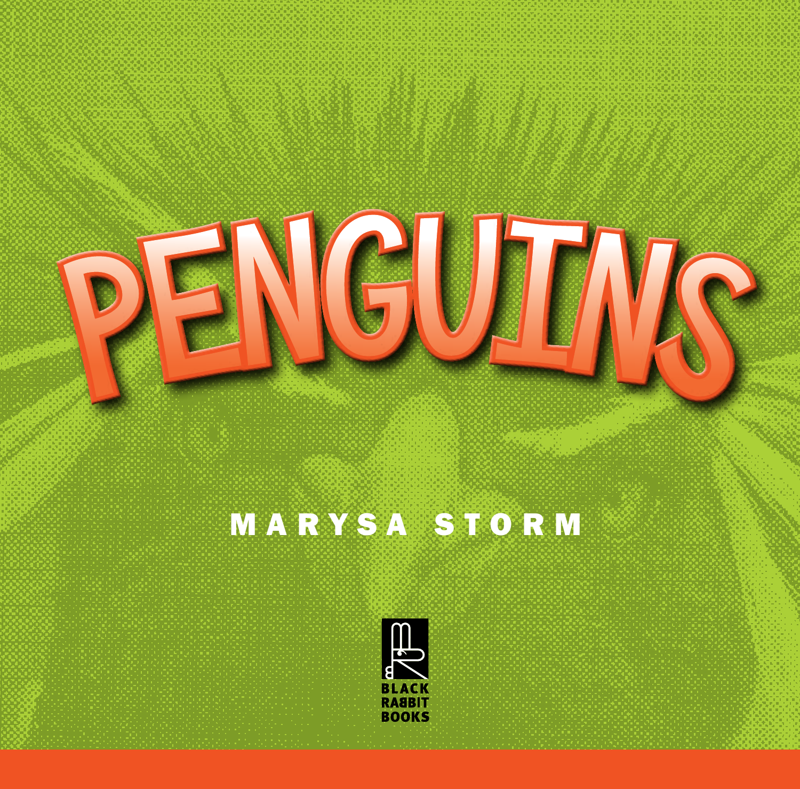

### MARYSA STORM

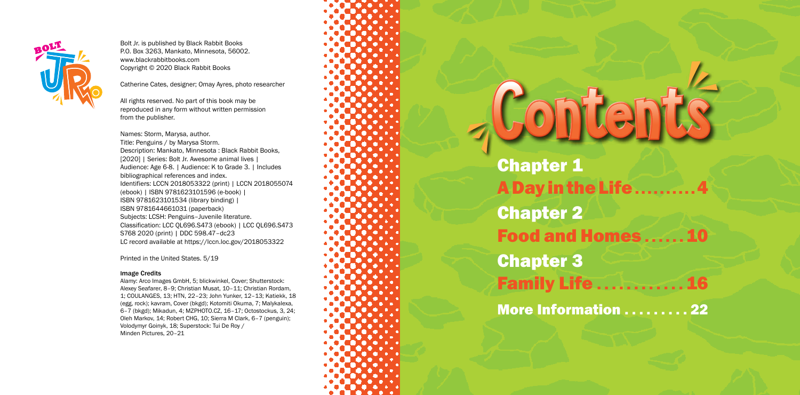- A Day in the Life . . . . . . . . . . 4 Food and Homes ...... 10
- Family Life . . . . . . . . . . . . 16
- **More Information ......... 22**

Chapter 1 Chapter 2 Chapter 3

# All rights reserved. No part of this book may be<br>reproduced in any form without written permission<br>from the publisher.<br>Title: Penguins / by Marysa, author.<br>Description: Marysa, author.



Bolt Jr. is published by Black Rabbit Books P.O. Box 3263, Mankato, Minnesota, 56002. www.blackrabbitbooks.com Copyright © 2020 Black Rabbit Books

Catherine Cates, designer; Omay Ayres, photo researcher

All rights reserved. No part of this book may be reproduced in any form without written permission from the publisher.

Names: Storm, Marysa, author. Title: Penguins / by Marysa Storm. Description: Mankato, Minnesota : Black Rabbit Books, [2020] | Series: Bolt Jr. Awesome animal lives | Audience: Age 6-8. | Audience: K to Grade 3. | Includes bibliographical references and index. Identifiers: LCCN 2018053322 (print) | LCCN 2018055074 (ebook) | ISBN 9781623101596 (e-book) | ISBN 9781623101534 (library binding) | ISBN 9781644661031 (paperback) Subjects: LCSH: Penguins–Juvenile literature. Classification: LCC QL696.S473 (ebook) | LCC QL696.S473 S768 2020 (print) | DDC 598.47–dc23 LC record available at https://lccn.loc.gov/2018053322

Printed in the United States. 5/19

#### Image Credits

Alamy: Arco Images GmbH, 5; blickwinkel, Cover; Shutterstock: Alexey Seafarer, 8–9; Christian Musat, 10–11; Christian Rordam, 1; COULANGES, 13; HTN, 22–23; John Yunker, 12–13; Katiekk, 18 (egg, rock); kavram, Cover (bkgd); Kotomiti Okuma, 7; Malykalexa, 6–7 (bkgd); Mikadun, 4; MZPHOTO.CZ, 16–17; Octostockus, 3, 24; Oleh Markov, 14; Robert CHG, 10; Sierra M Clark, 6–7 (penguin); Volodymyr Goinyk, 18; Superstock: Tui De Roy / Minden Pictures, 20–21



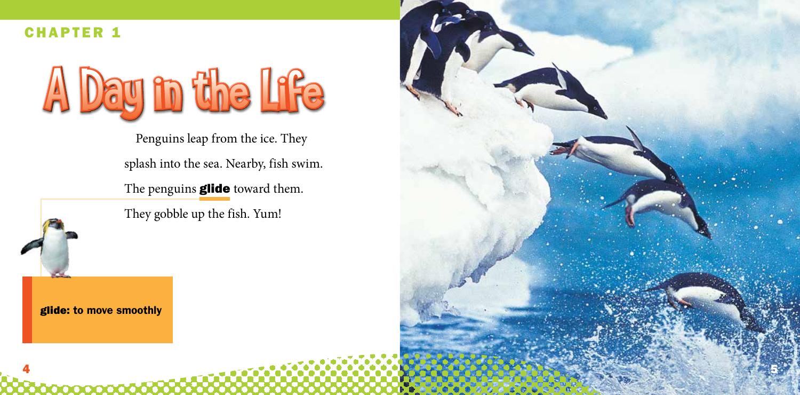glide: to move smoothly

Penguins leap from the ice. They splash into the sea. Nearby, fish swim.

The penguins **glide** toward them.

They gobble up the fish. Yum!



#### CHAPTER 1